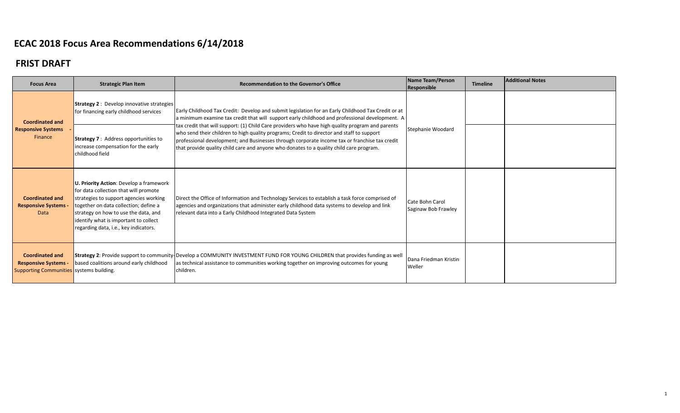| <b>Focus Area</b>                                                                                 | <b>Strategic Plan Item</b>                                                                                                                                                                                                                                                                    | <b>Recommendation to the Governor's Office</b>                                                                                                                                                                                                                                                                                                                                            | Name Team/Person<br>Responsible        | <b>Timeline</b> | <b>Additional Notes</b> |
|---------------------------------------------------------------------------------------------------|-----------------------------------------------------------------------------------------------------------------------------------------------------------------------------------------------------------------------------------------------------------------------------------------------|-------------------------------------------------------------------------------------------------------------------------------------------------------------------------------------------------------------------------------------------------------------------------------------------------------------------------------------------------------------------------------------------|----------------------------------------|-----------------|-------------------------|
| <b>Coordinated and</b>                                                                            | <b>Strategy 2: Develop innovative strategies</b><br>for financing early childhood services                                                                                                                                                                                                    | Early Childhood Tax Credit: Develop and submit legislation for an Early Childhood Tax Credit or at<br>a minimum examine tax credit that will support early childhood and professional development. A                                                                                                                                                                                      |                                        |                 |                         |
| <b>Responsive Systems</b><br>Finance                                                              | <b>Strategy 7: Address opportunities to</b><br>increase compensation for the early<br>childhood field                                                                                                                                                                                         | tax credit that will support: (1) Child Care providers who have high quality program and parents<br>who send their children to high quality programs; Credit to director and staff to support<br>professional development; and Businesses through corporate income tax or franchise tax credit<br>that provide quality child care and anyone who donates to a quality child care program. | Stephanie Woodard                      |                 |                         |
| <b>Coordinated and</b><br><b>Responsive Systems -</b><br>Data                                     | U. Priority Action: Develop a framework<br>for data collection that will promote<br>strategies to support agencies working<br>together on data collection; define a<br>strategy on how to use the data, and<br>identify what is important to collect<br>regarding data, i.e., key indicators. | Direct the Office of Information and Technology Services to establish a task force comprised of<br>agencies and organizations that administer early childhood data systems to develop and link<br>relevant data into a Early Childhood Integrated Data System                                                                                                                             | Cate Bohn Carol<br>Saginaw Bob Frawley |                 |                         |
| <b>Coordinated and</b><br><b>Responsive Systems -</b><br>Supporting Communities systems building. | based coalitions around early childhood                                                                                                                                                                                                                                                       | Strategy 2: Provide support to community-Develop a COMMUNITY INVESTMENT FUND FOR YOUNG CHILDREN that provides funding as well<br>as technical assistance to communities working together on improving outcomes for young<br>children.                                                                                                                                                     | Dana Friedman Kristin<br>Weller        |                 |                         |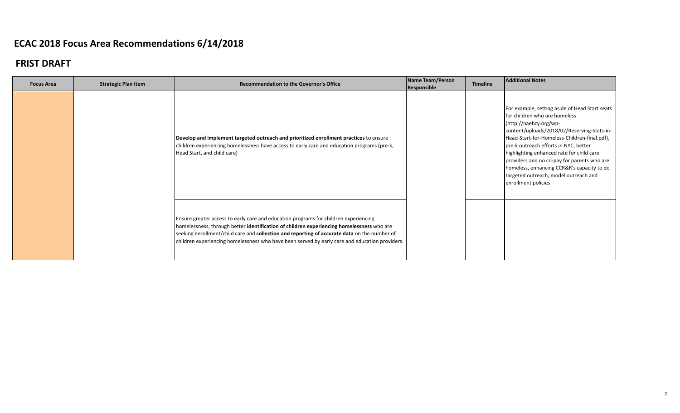| <b>Focus Area</b> | <b>Strategic Plan Item</b> | <b>Recommendation to the Governor's Office</b>                                                                                                                                                                                                                                                                                                                                      | Name Team/Person<br>Responsible | <b>Timeline</b> | <b>Additional Notes</b>                                                                                                                                                                                                                                                                                                                                                                                                                                     |
|-------------------|----------------------------|-------------------------------------------------------------------------------------------------------------------------------------------------------------------------------------------------------------------------------------------------------------------------------------------------------------------------------------------------------------------------------------|---------------------------------|-----------------|-------------------------------------------------------------------------------------------------------------------------------------------------------------------------------------------------------------------------------------------------------------------------------------------------------------------------------------------------------------------------------------------------------------------------------------------------------------|
|                   |                            | Develop and implement targeted outreach and prioritized enrollment practices to ensure<br>children experiencing homelessness have access to early care and education programs (pre-k,<br>Head Start, and child care)                                                                                                                                                                |                                 |                 | For example, setting aside of Head Start seats<br>for children who are homeless<br>(http://naehcy.org/wp-<br>content/uploads/2018/02/Reserving-Slots-in-<br>Head-Start-for-Homeless-Children-final.pdf),<br>pre-k outreach efforts in NYC, better<br>highlighting enhanced rate for child care<br>providers and no co-pay for parents who are<br>homeless, enhancing CCR&R's capacity to do<br>targeted outreach, model outreach and<br>enrollment policies |
|                   |                            | Ensure greater access to early care and education programs for children experiencing<br>homelessness, through better identification of children experiencing homelessness who are<br>seeking enrollment/child care and collection and reporting of accurate data on the number of<br>children experiencing homelessness who have been served by early care and education providers. |                                 |                 |                                                                                                                                                                                                                                                                                                                                                                                                                                                             |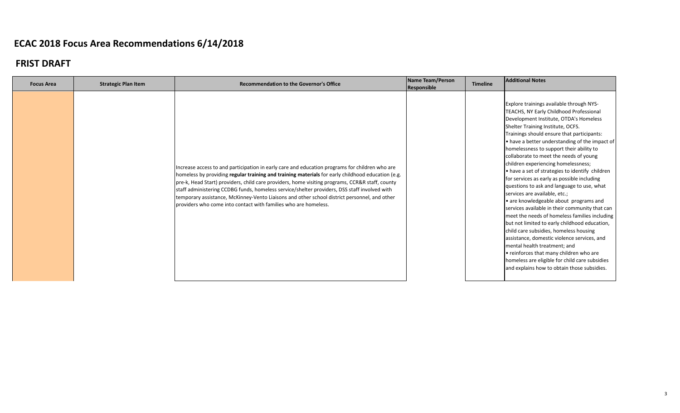| Explore trainings available through NYS-<br>TEACHS, NY Early Childhood Professional<br>Development Institute, OTDA's Homeless<br>Shelter Training Institute, OCFS.<br>Trainings should ensure that participants:<br>. have a better understanding of the impact of<br>homelessness to support their ability to<br>collaborate to meet the needs of young<br>children experiencing homelessness;<br>Increase access to and participation in early care and education programs for children who are<br>. have a set of strategies to identify children<br>homeless by providing regular training and training materials for early childhood education (e.g.<br>for services as early as possible including<br>pre-k, Head Start) providers, child care providers, home visiting programs, CCR&R staff, county<br>questions to ask and language to use, what<br>staff administering CCDBG funds, homeless service/shelter providers, DSS staff involved with<br>services are available, etc.;<br>temporary assistance, McKinney-Vento Liaisons and other school district personnel, and other<br>• are knowledgeable about programs and<br>providers who come into contact with families who are homeless.<br>services available in their community that can<br>meet the needs of homeless families including<br>but not limited to early childhood education,<br>child care subsidies, homeless housing<br>assistance, domestic violence services, and<br>mental health treatment; and<br>• reinforces that many children who are<br>homeless are eligible for child care subsidies<br>and explains how to obtain those subsidies. | <b>Focus Area</b> | <b>Strategic Plan Item</b> | <b>Recommendation to the Governor's Office</b> | Name Team/Person<br>Responsible | <b>Timeline</b> | <b>Additional Notes</b> |
|----------------------------------------------------------------------------------------------------------------------------------------------------------------------------------------------------------------------------------------------------------------------------------------------------------------------------------------------------------------------------------------------------------------------------------------------------------------------------------------------------------------------------------------------------------------------------------------------------------------------------------------------------------------------------------------------------------------------------------------------------------------------------------------------------------------------------------------------------------------------------------------------------------------------------------------------------------------------------------------------------------------------------------------------------------------------------------------------------------------------------------------------------------------------------------------------------------------------------------------------------------------------------------------------------------------------------------------------------------------------------------------------------------------------------------------------------------------------------------------------------------------------------------------------------------------------------------------------------------------------------------|-------------------|----------------------------|------------------------------------------------|---------------------------------|-----------------|-------------------------|
|                                                                                                                                                                                                                                                                                                                                                                                                                                                                                                                                                                                                                                                                                                                                                                                                                                                                                                                                                                                                                                                                                                                                                                                                                                                                                                                                                                                                                                                                                                                                                                                                                                  |                   |                            |                                                |                                 |                 |                         |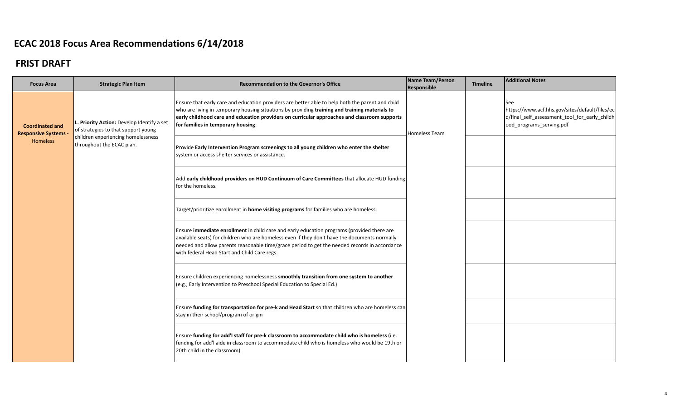| <b>Focus Area</b>                                   | <b>Strategic Plan Item</b>                                                     | Recommendation to the Governor's Office                                                                                                                                                                                                                                                                                                      | Name Team/Person<br>Responsible | <b>Timeline</b> | <b>Additional Notes</b>                                                                                                            |
|-----------------------------------------------------|--------------------------------------------------------------------------------|----------------------------------------------------------------------------------------------------------------------------------------------------------------------------------------------------------------------------------------------------------------------------------------------------------------------------------------------|---------------------------------|-----------------|------------------------------------------------------------------------------------------------------------------------------------|
| <b>Coordinated and</b><br><b>Responsive Systems</b> | Priority Action: Develop Identify a set<br>of strategies to that support young | Ensure that early care and education providers are better able to help both the parent and child<br>who are living in temporary housing situations by providing training and training materials to<br>early childhood care and education providers on curricular approaches and classroom supports<br>for families in temporary housing.     | <b>Homeless Team</b>            |                 | See<br>https://www.acf.hhs.gov/sites/default/files/ec<br>d/final_self_assessment_tool_for_early_childh<br>ood_programs_serving.pdf |
| Homeless                                            | children experiencing homelessness<br>throughout the ECAC plan.                | Provide Early Intervention Program screenings to all young children who enter the shelter<br>system or access shelter services or assistance.                                                                                                                                                                                                |                                 |                 |                                                                                                                                    |
|                                                     |                                                                                | Add early childhood providers on HUD Continuum of Care Committees that allocate HUD funding<br>for the homeless.                                                                                                                                                                                                                             |                                 |                 |                                                                                                                                    |
|                                                     |                                                                                | Target/prioritize enrollment in home visiting programs for families who are homeless.                                                                                                                                                                                                                                                        |                                 |                 |                                                                                                                                    |
|                                                     |                                                                                | Ensure immediate enrollment in child care and early education programs (provided there are<br>available seats) for children who are homeless even if they don't have the documents normally<br>needed and allow parents reasonable time/grace period to get the needed records in accordance<br>with federal Head Start and Child Care regs. |                                 |                 |                                                                                                                                    |
|                                                     |                                                                                | Ensure children experiencing homelessness smoothly transition from one system to another<br>(e.g., Early Intervention to Preschool Special Education to Special Ed.)                                                                                                                                                                         |                                 |                 |                                                                                                                                    |
|                                                     |                                                                                | Ensure funding for transportation for pre-k and Head Start so that children who are homeless can<br>stay in their school/program of origin                                                                                                                                                                                                   |                                 |                 |                                                                                                                                    |
|                                                     |                                                                                | Ensure funding for add'I staff for pre-k classroom to accommodate child who is homeless (i.e.<br>funding for add'l aide in classroom to accommodate child who is homeless who would be 19th or<br>20th child in the classroom)                                                                                                               |                                 |                 |                                                                                                                                    |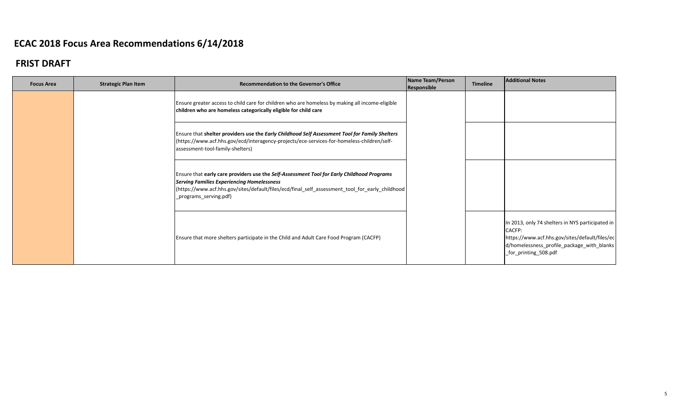| <b>Focus Area</b> | <b>Strategic Plan Item</b> | <b>Recommendation to the Governor's Office</b>                                                                                                                                                                                                                                 | Name Team/Person<br>Responsible | <b>Timeline</b> | <b>Additional Notes</b>                                                                                                                                                                    |
|-------------------|----------------------------|--------------------------------------------------------------------------------------------------------------------------------------------------------------------------------------------------------------------------------------------------------------------------------|---------------------------------|-----------------|--------------------------------------------------------------------------------------------------------------------------------------------------------------------------------------------|
|                   |                            | Ensure greater access to child care for children who are homeless by making all income-eligible<br>children who are homeless categorically eligible for child care                                                                                                             |                                 |                 |                                                                                                                                                                                            |
|                   |                            | Ensure that shelter providers use the Early Childhood Self Assessment Tool for Family Shelters<br>(https://www.acf.hhs.gov/ecd/interagency-projects/ece-services-for-homeless-children/self-<br>assessment-tool-family-shelters)                                               |                                 |                 |                                                                                                                                                                                            |
|                   |                            | Ensure that early care providers use the Self-Assessment Tool for Early Childhood Programs<br><b>Serving Families Experiencing Homelessness</b><br> https://www.acf.hhs.gov/sites/default/files/ecd/final_self_assessment_tool_for_early_childhood  <br>_programs_serving.pdf) |                                 |                 |                                                                                                                                                                                            |
|                   |                            | Ensure that more shelters participate in the Child and Adult Care Food Program (CACFP)                                                                                                                                                                                         |                                 |                 | In 2013, only 74 shelters in NYS participated in<br><b>CACFP:</b><br>https://www.acf.hhs.gov/sites/default/files/ec<br>d/homelessness_profile_package_with_blanks<br>_for_printing_508.pdf |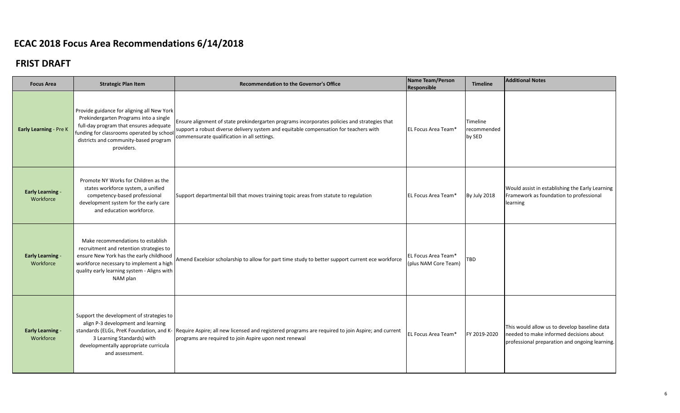| <b>Focus Area</b>                    | <b>Strategic Plan Item</b>                                                                                                                                                                                                         | <b>Recommendation to the Governor's Office</b>                                                                                                                                                                                       | Name Team/Person<br>Responsible             | <b>Timeline</b>                   | <b>Additional Notes</b>                                                                                                                   |
|--------------------------------------|------------------------------------------------------------------------------------------------------------------------------------------------------------------------------------------------------------------------------------|--------------------------------------------------------------------------------------------------------------------------------------------------------------------------------------------------------------------------------------|---------------------------------------------|-----------------------------------|-------------------------------------------------------------------------------------------------------------------------------------------|
| Early Learning - Pre K               | Provide guidance for aligning all New York<br>Prekindergarten Programs into a single<br>full-day program that ensures adequate<br>funding for classrooms operated by school<br>districts and community-based program<br>providers. | Ensure alignment of state prekindergarten programs incorporates policies and strategies that<br>support a robust diverse delivery system and equitable compensation for teachers with<br>commensurate qualification in all settings. | EL Focus Area Team*                         | Timeline<br>recommended<br>by SED |                                                                                                                                           |
| <b>Early Learning -</b><br>Workforce | Promote NY Works for Children as the<br>states workforce system, a unified<br>competency-based professional<br>development system for the early care<br>and education workforce.                                                   | Support departmental bill that moves training topic areas from statute to regulation                                                                                                                                                 | <b>EL Focus Area Team*</b>                  | By July 2018                      | Would assist in establishing the Early Learning<br>Framework as foundation to professional<br>learning                                    |
| <b>Early Learning -</b><br>Workforce | Make recommendations to establish<br>recruitment and retention strategies to<br>ensure New York has the early childhood<br>workforce necessary to implement a high<br>quality early learning system - Aligns with<br>NAM plan      | Amend Excelsior scholarship to allow for part time study to better support current ece workforce                                                                                                                                     | EL Focus Area Team*<br>(plus NAM Core Team) | TBD                               |                                                                                                                                           |
| <b>Early Learning -</b><br>Workforce | Support the development of strategies to<br>align P-3 development and learning<br>standards (ELGs, PreK Foundation, and K-<br>3 Learning Standards) with<br>developmentally appropriate curricula<br>and assessment.               | Require Aspire; all new licensed and registered programs are required to join Aspire; and current<br>programs are required to join Aspire upon next renewal                                                                          | EL Focus Area Team*                         | FY 2019-2020                      | This would allow us to develop baseline data<br>needed to make informed decisions about<br>professional preparation and ongoing learning. |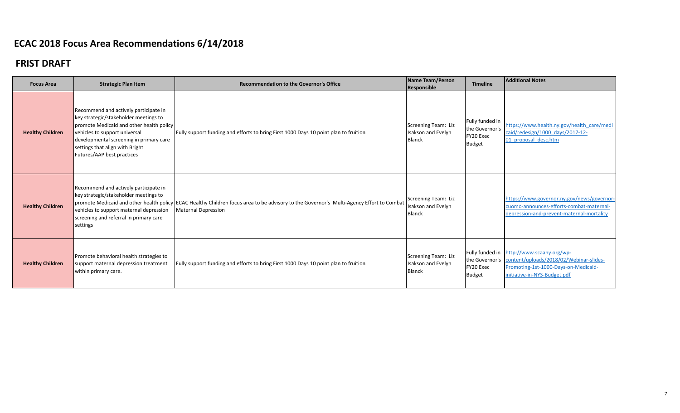| <b>Focus Area</b>       | <b>Strategic Plan Item</b>                                                                                                                                                                                                                                              | <b>Recommendation to the Governor's Office</b>                                                                                                                         | Name Team/Person<br>Responsible                            | <b>Timeline</b>                                                 | <b>Additional Notes</b>                                                                                                                                                     |
|-------------------------|-------------------------------------------------------------------------------------------------------------------------------------------------------------------------------------------------------------------------------------------------------------------------|------------------------------------------------------------------------------------------------------------------------------------------------------------------------|------------------------------------------------------------|-----------------------------------------------------------------|-----------------------------------------------------------------------------------------------------------------------------------------------------------------------------|
| <b>Healthy Children</b> | Recommend and actively participate in<br>key strategic/stakeholder meetings to<br>promote Medicaid and other health policy<br>vehicles to support universal<br>developmental screening in primary care<br>settings that align with Bright<br>Futures/AAP best practices | Fully support funding and efforts to bring First 1000 Days 10 point plan to fruition                                                                                   | Screening Team: Liz<br>Isakson and Evelyn<br><b>Blanck</b> | Fully funded in<br>the Governor's<br>FY20 Exec<br><b>Budget</b> | https://www.health.ny.gov/health_care/medi<br>caid/redesign/1000 days/2017-12-<br>01 proposal desc.htm                                                                      |
| <b>Healthy Children</b> | Recommend and actively participate in<br>key strategic/stakeholder meetings to<br>vehicles to support maternal depression<br>screening and referral in primary care<br>settings                                                                                         | promote Medicaid and other health policy ECAC Healthy Children focus area to be advisory to the Governor's Multi-Agency Effort to Combat<br><b>Maternal Depression</b> | Screening Team: Liz<br>Isakson and Evelyn<br><b>Blanck</b> |                                                                 | https://www.governor.ny.gov/news/governor-<br>cuomo-announces-efforts-combat-maternal-<br>depression-and-prevent-maternal-mortality                                         |
| <b>Healthy Children</b> | Promote behavioral health strategies to<br>support maternal depression treatment<br>within primary care.                                                                                                                                                                | Fully support funding and efforts to bring First 1000 Days 10 point plan to fruition                                                                                   | Screening Team: Liz<br>Isakson and Evelyn<br><b>Blanck</b> | FY20 Exec<br><b>Budget</b>                                      | Fully funded in http://www.scaany.org/wp-<br>the Governor's content/uploads/2018/02/Webinar-slides-<br>Promoting-1st-1000-Days-on-Medicaid-<br>initiative-in-NYS-Budget.pdf |